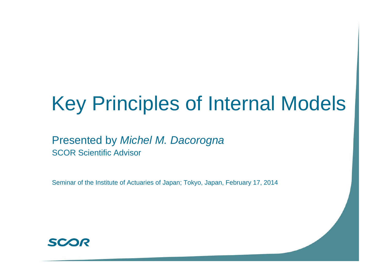# Key Principles of Internal Models

## Presented by *Michel M. Dacorogna* SCOR Scientific Advisor

Seminar of the Institute of Actuaries of Japan; Tokyo, Japan, February 17, 2014

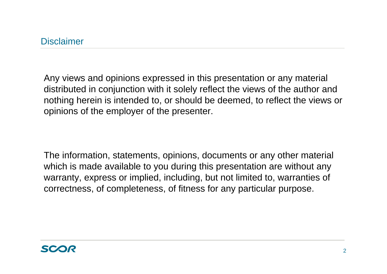Any views and opinions expressed in this presentation or any material distributed in conjunction with it solely reflect the views of the author and nothing herein is intended to, or should be deemed, to reflect the views or opinions of the employer of the presenter.

The information, statements, opinions, documents or any other material which is made available to you during this presentation are without any warranty, express or implied, including, but not limited to, warranties of correctness, of completeness, of fitness for any particular purpose.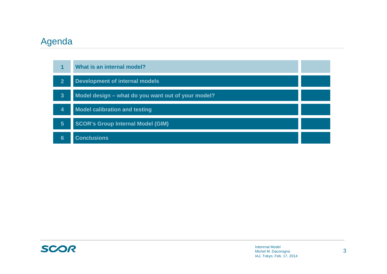#### Agenda



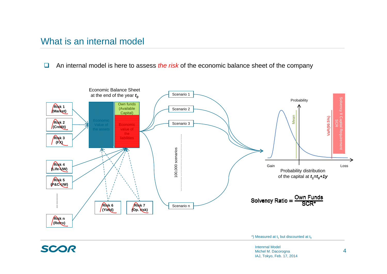#### What is an internal model

SCOR

 $\Box$ An internal model is here to assess *the risk* of the economic balance sheet of the company



\*) Measured at  $t_1$  but discounted at  $t_0$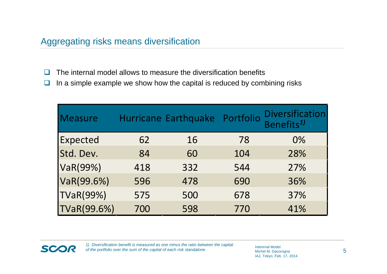- $\Box$ The internal model allows to measure the diversification benefits
- $\Box$ In a simple example we show how the capital is reduced by combining risks

| Measure            |     | Hurricane Earthquake Portfolio |     | <b>Diversification</b><br>Benefits <sup>1)</sup> |
|--------------------|-----|--------------------------------|-----|--------------------------------------------------|
| <b>Expected</b>    | 62  | 16                             | 78  | $0\%$                                            |
| Std. Dev.          | 84  | 60                             | 104 | 28%                                              |
| VaR(99%)           | 418 | 332                            | 544 | 27%                                              |
| VaR(99.6%)         | 596 | 478                            | 690 | 36%                                              |
| <b>TVaR(99%)</b>   | 575 | 500                            | 678 | 37%                                              |
| <b>TVaR(99.6%)</b> | 700 | 598                            | 770 | 41%                                              |

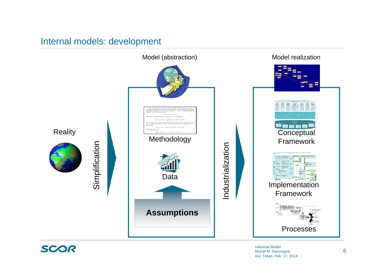#### Internal models: development



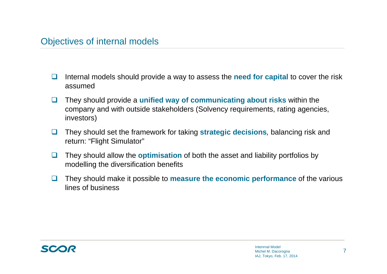#### Objectives of internal models

- $\Box$  Internal models should provide a way to assess the **need for capital** to cover the risk assumed
- $\Box$  They should provide a **unified way of communicating about risks** within the company and with outside stakeholders (Solvency requirements, rating agencies, investors)
- $\Box$  They should set the framework for taking **strategic decisions***,* balancing risk and return: "Flight Simulator"
- $\Box$  They should allow the **optimisation** of both the asset and liability portfolios by modelling the diversification benefits
- $\Box$  They should make it possible to **measure the economic performance** of the various lines of business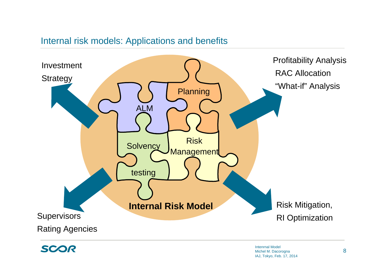#### Internal risk models: Applications and benefits



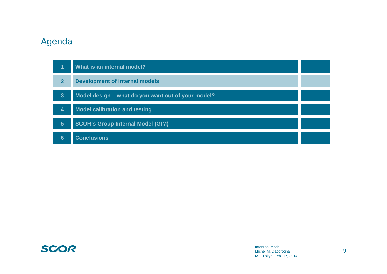#### Agenda

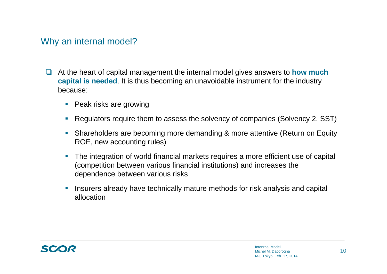- $\Box$  At the heart of capital management the internal model gives answers to **how much capital is needed**. It is thus becoming an unavoidable instrument for the industry because:
	- Peak risks are growing
	- Г Regulators require them to assess the solvency of companies (Solvency 2, SST)
	- Shareholders are becoming more demanding & more attentive (Return on Equity ROE, new accounting rules)
	- $\mathcal{L}_{\mathcal{A}}$  The integration of world financial markets requires a more efficient use of capital (competition between various financial institutions) and increases the dependence between various risks
	- $\overline{\mathcal{A}}$  Insurers already have technically mature methods for risk analysis and capital allocation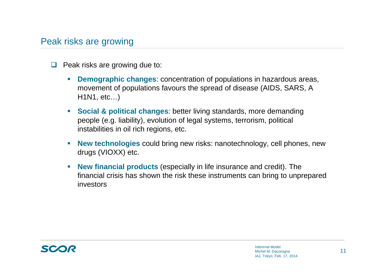#### Peak risks are growing

- $\Box$  Peak risks are growing due to:
	- H **Demographic changes**: concentration of populations in hazardous areas, movement of populations favours the spread of disease (AIDS, SARS, A H1N1, etc…)
	- **Social & political changes**: better living standards, more demanding people (e.g. liability), evolution of legal systems, terrorism, political instabilities in oil rich regions, etc.
	- $\mathcal{C}^{\mathcal{A}}$  **New technologies** could bring new risks: nanotechnology, cell phones, new drugs (VIOXX) etc.
	- $\mathcal{C}^{\mathcal{A}}$  **New financial products** (especially in life insurance and credit). The financial crisis has shown the risk these instruments can bring to unprepared investors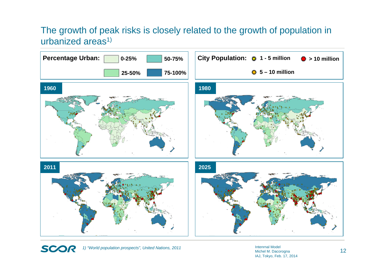## The growth of peak risks is closely related to the growth of population in urbanized areas<sup>1)</sup>



SCOR *1) "World population prospects", United Nations, 2011*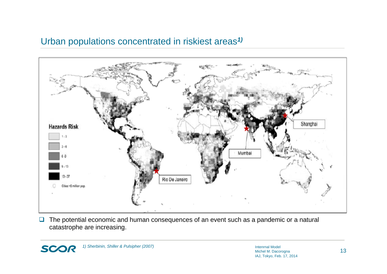#### Urban populations concentrated in riskiest areas*1)*



 $\Box$  The potential economic and human consequences of an event such as a pandemic or a natural catastrophe are increasing.

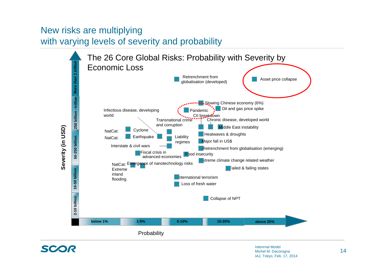## New risks are multiplying with varying levels of severity and probability



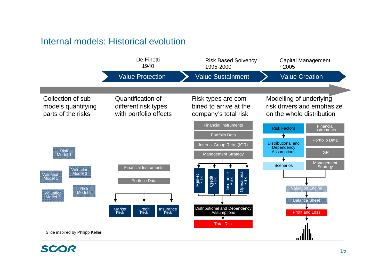#### Internal models: Historical evolution



SCOR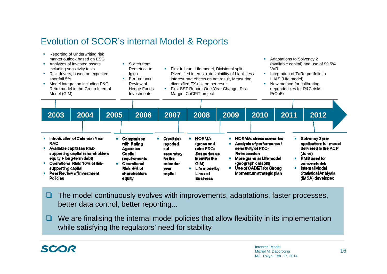## Evolution of SCOR's internal Model & Reports

| Reporting of Underwriting risk<br>market outlook based on ESG<br>Analyzes of invested assets<br>including sensitivity tests<br>Risk drivers, based on expected<br>shortfall 5%<br>Model integration including P&C<br>Retro model in the Group Internal<br>Model (GIM) |                                                                                                                                                                                                                                                   |      |      | Switch from<br>Remetrica to<br>Igloo<br>Performance<br>Review of<br>Hedge Funds<br>Investments                             |                                                                                                      | Adaptations to Solvency 2<br>(available capital) and use of 99.5%<br>First full run: Life model, Divisional split,<br>VaR<br>Diversified interest-rate volatility of Liabilities /<br>Integration of TaRe portfolio in<br>interest rate effects on net result, Measuring<br>ILIAS (Life model)<br>diversified FX-risk on net result<br>New method for calibrating<br>×<br>First SST Report: One-Year Change, Risk<br>dependencies for P&C risks:<br>Margin, CoCPIT project<br>PrObEx |                                                                                                                                   |                                     |  |                                                                                                                                                                                                             |      |                                                                                                                                                                             |  |
|-----------------------------------------------------------------------------------------------------------------------------------------------------------------------------------------------------------------------------------------------------------------------|---------------------------------------------------------------------------------------------------------------------------------------------------------------------------------------------------------------------------------------------------|------|------|----------------------------------------------------------------------------------------------------------------------------|------------------------------------------------------------------------------------------------------|--------------------------------------------------------------------------------------------------------------------------------------------------------------------------------------------------------------------------------------------------------------------------------------------------------------------------------------------------------------------------------------------------------------------------------------------------------------------------------------|-----------------------------------------------------------------------------------------------------------------------------------|-------------------------------------|--|-------------------------------------------------------------------------------------------------------------------------------------------------------------------------------------------------------------|------|-----------------------------------------------------------------------------------------------------------------------------------------------------------------------------|--|
|                                                                                                                                                                                                                                                                       | 2003                                                                                                                                                                                                                                              | 2004 | 2005 | 2006                                                                                                                       | 2007                                                                                                 |                                                                                                                                                                                                                                                                                                                                                                                                                                                                                      | 2008                                                                                                                              | 2009                                |  | 2010                                                                                                                                                                                                        | 2011 | 2012                                                                                                                                                                        |  |
|                                                                                                                                                                                                                                                                       | Introduction of Calendar Year<br><b>RAC</b><br>Available capital as Risk-<br>supporting capital (shareholders<br>equity + long-term debt)<br>Operational Risk: 10% of risk-<br>supporting capital<br>Peer Review of investment<br><b>Policies</b> |      | m.   | Comparison<br>with Rating<br>Agencies.<br>Capital<br>requirements<br>Operational<br>Risk: 5% of<br>shareholders.<br>equity | <b>Credit risk</b><br><b>reported</b><br>out<br>separately<br>for the<br>calendar<br>year<br>capital | $\mathbf{r}$<br>$\mathbf{r}$                                                                                                                                                                                                                                                                                                                                                                                                                                                         | <b>NORMA</b><br>(gross and<br>retro P&C-<br>Scenarios as<br>Input for the<br>GIM)<br>Life model by<br>Lines of<br><b>Business</b> | <b>The Contract of the Contract</b> |  | NORMA: stress scenarios<br>Analysis of performance/<br>sensitivity of P&C-<br><b>Retrocession</b><br>More granular Life model<br>(geographical split)<br>Use of CADET for Strong<br>Momentum strategic plan |      | Solvency 2 pre-<br>application: full model<br>delivered to the ACP<br>(June)<br>RMS used for<br>pandemic risk<br>Internal Model<br>Statistical Analysis<br>(IMSA) developed |  |

- $\Box$  The model continuously evolves with improvements, adaptations, faster processes, better data control, better reporting...
- $\Box$  We are finalising the internal model policies that allow flexibility in its implementation while satisfying the regulators' need for stability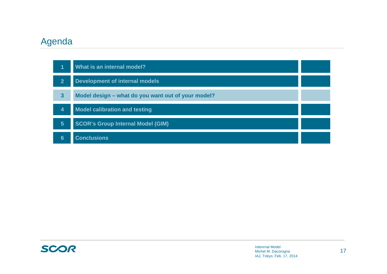#### Agenda

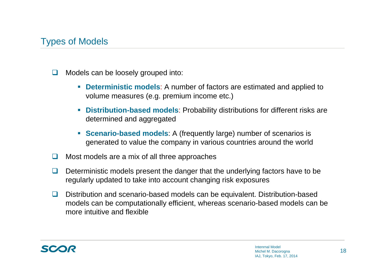## Types of Models

- $\Box$  Models can be loosely grouped into:
	- $\mathcal{C}$  **Deterministic models**: A number of factors are estimated and applied to volume measures (e.g. premium income etc.)
	- **Distribution-based models**: Probability distributions for different risks are determined and aggregated
	- **Scenario-based models:** A (frequently large) number of scenarios is generated to value the company in various countries around the world
- $\Box$ Most models are a mix of all three approaches
- $\Box$  Deterministic models present the danger that the underlying factors have to be regularly updated to take into account changing risk exposures
- $\Box$  Distribution and scenario-based models can be equivalent. Distribution-based models can be computationally efficient, whereas scenario-based models can be more intuitive and flexible

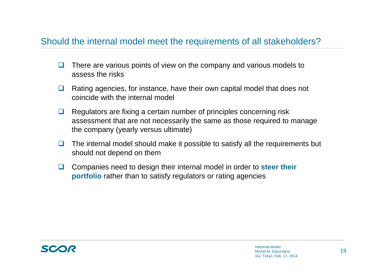#### Should the internal model meet the requirements of all stakeholders?

- $\Box$  There are various points of view on the company and various models to assess the risks
- $\Box$  Rating agencies, for instance, have their own capital model that does not coincide with the internal model
- u. Regulators are fixing a certain number of principles concerning risk assessment that are not necessarily the same as those required to manage the company (yearly versus ultimate)
- $\Box$  The internal model should make it possible to satisfy all the requirements but should not depend on them
- $\Box$  Companies need to design their internal model in order to **steer their portfolio** rather than to satisfy regulators or rating agencies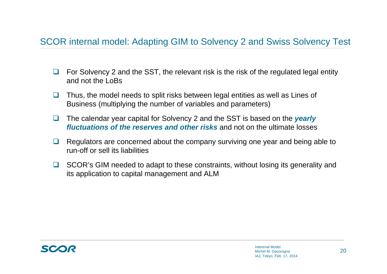### SCOR internal model: Adapting GIM to Solvency 2 and Swiss Solvency Test

- $\Box$  For Solvency 2 and the SST, the relevant risk is the risk of the regulated legal entity and not the LoBs
- $\Box$  Thus, the model needs to split risks between legal entities as well as Lines of Business (multiplying the number of variables and parameters)
- $\Box$  The calendar year capital for Solvency 2 and the SST is based on the *yearly fluctuations of the reserves and other risks* and not on the ultimate losses
- $\Box$  Regulators are concerned about the company surviving one year and being able to run-off or sell its liabilities
- **□** SCOR's GIM needed to adapt to these constraints, without losing its generality and its application to capital management and ALM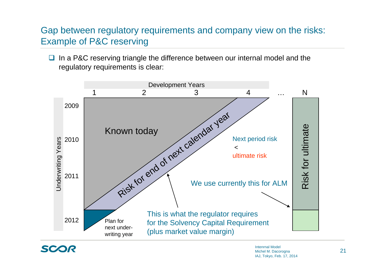## Gap between regulatory requirements and company view on the risks: Example of P&C reserving

 $\Box$  In a P&C reserving triangle the difference between our internal model and the regulatory requirements is clear:



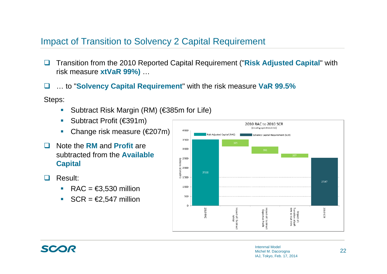#### Impact of Transition to Solvency 2 Capital Requirement

- $\Box$  Transition from the 2010 Reported Capital Requirement ("**Risk Adjusted Capital**" with risk measure **xtVaR 99%)** …
- $\Box$ … to "**Solvency Capital Requirement**" with the risk measure **VaR 99.5%**

Steps:

- $\mathcal{L}_{\mathcal{A}}$ Subtract Risk Margin (RM) (€385m for Life)
- $\mathcal{L}_{\mathcal{A}}$ Subtract Profit (€391m)
- $\mathcal{L}_{\mathcal{A}}$ Change risk measure (€207m)
- $\Box$  Note the **RM** and **Profit** are subtracted from the **Available Capital**
- $\Box$  Result:
	- RAC =  $\epsilon$ 3,530 million
	- $\mathcal{L}_{\mathcal{A}}$  $SCR = \pmb{\epsilon}2,547$  million



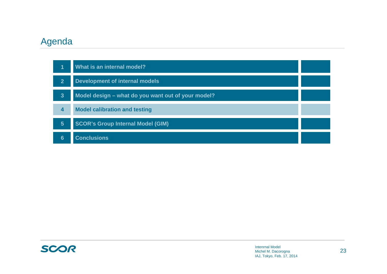#### Agenda

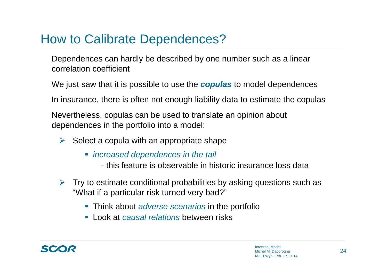# How to Calibrate Dependences?

Dependences can hardly be described by one number such as a linear correlation coefficient

We just saw that it is possible to use the *copulas* to model dependences

In insurance, there is often not enough liability data to estimate the copulas

Nevertheless, copulas can be used to translate an opinion about dependences in the portfolio into a model:

- $\triangleright$  Select a copula with an appropriate shape
	- *increased dependences in the tail*
		- this feature is observable in historic insurance loss data
- $\triangleright$  Try to estimate conditional probabilities by asking questions such as "What if a particular risk turned very bad?"
	- Think about *adverse scenarios* in the portfolio
	- Look at *causal relations* between risks

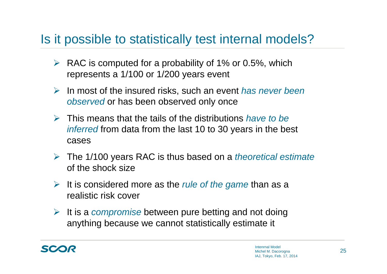# Is it possible to statistically test internal models?

- $\triangleright$  RAC is computed for a probability of 1% or 0.5%, which represents a 1/100 or 1/200 years event
- In most of the insured risks, such an event *has never been observed* or has been observed only once
- This means that the tails of the distributions *have to be inferred* from data from the last 10 to 30 years in the best cases
- The 1/100 years RAC is thus based on a *theoretical estimate* of the shock size
- It is considered more as the *rule of the game* than as a realistic risk cover
- It is a *compromise* between pure betting and not doing anything because we cannot statistically estimate it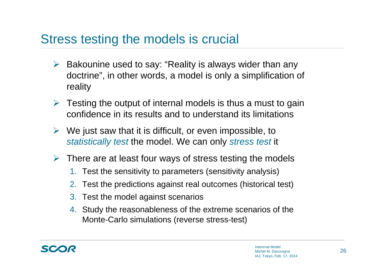# Stress testing the models is crucial

- $\blacktriangleright$  Bakounine used to say: "Reality is always wider than any doctrine", in other words, a model is only a simplification of reality
- $\triangleright$  Testing the output of internal models is thus a must to gain confidence in its results and to understand its limitations
- $\triangleright$  We just saw that it is difficult, or even impossible, to *statistically test* the model. We can only *stress test* it
- $\triangleright$  There are at least four ways of stress testing the models
	- 1. Test the sensitivity to parameters (sensitivity analysis)
	- 2. Test the predictions against real outcomes (historical test)
	- 3. Test the model against scenarios
	- 4. Study the reasonableness of the extreme scenarios of the Monte-Carlo simulations (reverse stress-test)

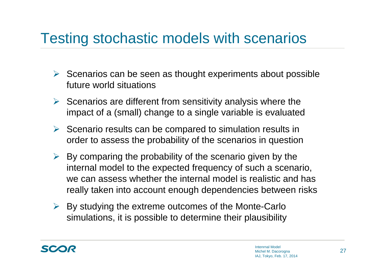# Testing stochastic models with scenarios

- $\triangleright$  Scenarios can be seen as thought experiments about possible future world situations
- $\triangleright$  Scenarios are different from sensitivity analysis where the impact of a (small) change to a single variable is evaluated
- $\triangleright$  Scenario results can be compared to simulation results in order to assess the probability of the scenarios in question
- $\triangleright$  By comparing the probability of the scenario given by the internal model to the expected frequency of such a scenario, we can assess whether the internal model is realistic and has really taken into account enough dependencies between risks
- $\triangleright$  By studying the extreme outcomes of the Monte-Carlo simulations, it is possible to determine their plausibility

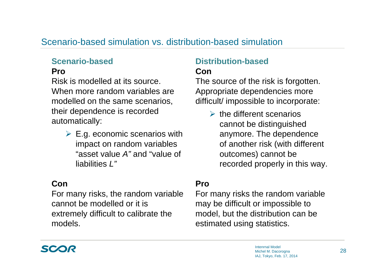#### Scenario-based simulation vs. distribution-based simulation

#### **Scenario-based**

#### **Pro**

Risk is modelled at its source. When more random variables are modelled on the same scenarios, their dependence is recorded automatically:

> $\triangleright$  E.g. economic scenarios with impact on random variables "asset value *A"* and "value of liabilities *L"*

#### **Con**

For many risks, the random variable cannot be modelled or it is extremely difficult to calibrate the models.

#### **Distribution-based**

#### **Con**

The source of the risk is forgotten. Appropriate dependencies more difficult/ impossible to incorporate:

> $\triangleright$  the different scenarios cannot be distinguished anymore. The dependence of another risk (with different outcomes) cannot be recorded properly in this way.

#### **Pro**

For many risks the random variable may be difficult or impossible to model, but the distribution can be estimated using statistics.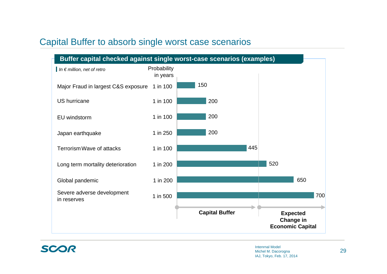#### Capital Buffer to absorb single worst case scenarios



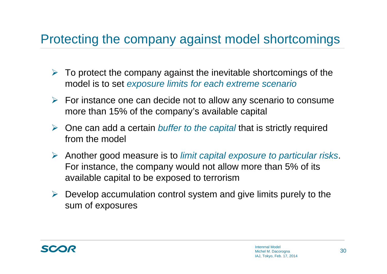# Protecting the company against model shortcomings

- $\triangleright$  To protect the company against the inevitable shortcomings of the model is to set *exposure limits for each extreme scenario*
- $\triangleright$  For instance one can decide not to allow any scenario to consume more than 15% of the company's available capital
- $\sum_{i=1}^{n}$  One can add a certain *buffer to the capital* that is strictly required from the model
- Another good measure is to *limit capital exposure to particular risks*. For instance, the company would not allow more than 5% of its available capital to be exposed to terrorism
- $\triangleright$  Develop accumulation control system and give limits purely to the sum of exposures

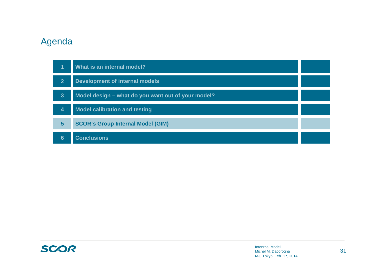#### Agenda



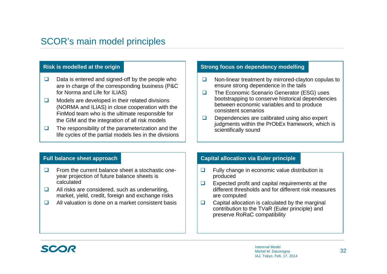## SCOR's main model principles

- $\Box$  Data is entered and signed-off by the people who are in charge of the corresponding business (P&C for Norma and Life for ILIAS)
- $\Box$  Models are developed in their related divisions (NORMA and ILIAS) in close cooperation with the FinMod team who is the ultimate responsible for the GIM and the integration of all risk models
- $\Box$  The responsibility of the parameterization and the life cycles of the partial models lies in the divisions

#### **Risk is modelled at the origin Strong focus on dependency modelling**

- $\Box$  Non-linear treatment by mirrored-clayton copulas to ensure strong dependence in the tails
- $\Box$  The Economic Scenario Generator (ESG) uses bootstrapping to conserve historical dependencies between economic variables and to produce consistent scenarios
- $\Box$  Dependencies are calibrated using also expert judgments within the PrObEx framework, which is scientifically sound

#### **Full balance sheet approach**

- $\Box$  From the current balance sheet a stochastic oneyear projection of future balance sheets is calculated
- $\Box$  All risks are considered, such as underwriting, market, yield, credit, foreign and exchange risks
- $\Box$ All valuation is done on a market consistent basis

#### **Capital allocation via Euler principle**

- $\Box$  Fully change in economic value distribution is produced
- $\Box$  Expected profit and capital requirements at the different thresholds and for different risk measures are computed
- $\Box$  Capital allocation is calculated by the marginal contribution to the TVaR (Euler principle) and preserve RoRaC compatibility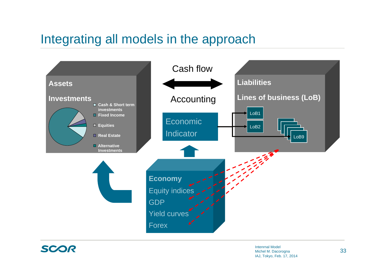# Integrating all models in the approach

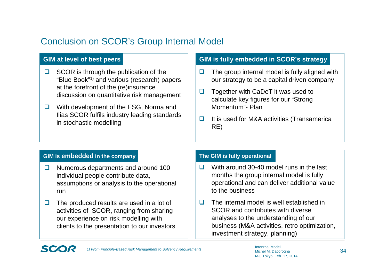## Conclusion on SCOR's Group Internal Model

- $\Box$  SCOR is through the publication of the "Blue Book"1) and various (research) papers at the forefront of the (re)insurance discussion on quantitative risk management
- $\Box$  With development of the ESG, Norma and Ilias SCOR fulfils industry leading standards in stochastic modelling

#### **GIM at level of best peers GIM is fully embedded in SCOR's strategy**

- $\Box$  The group internal model is fully aligned with our strategy to be a capital driven company
- $\Box$  Together with CaDeT it was used to calculate key figures for our "Strong Momentum"- Plan
- $\Box$  It is used for M&A activities (Transamerica RE)

#### **GIM is embedded in the company**

SC.

- $\Box$  Numerous departments and around 100 individual people contribute data, assumptions or analysis to the operational run
- $\Box$  The produced results are used in a lot of activities of SCOR, ranging from sharing our experience on risk modelling with clients to the presentation to our investors

#### **The GIM is fully operational**

- $\Box$  With around 30-40 model runs in the last months the group internal model is fully operational and can deliver additional value to the business
- $\Box$  The internal model is well established in SCOR and contributes with diverse analyses to the understanding of our business (M&A activities, retro optimization, investment strategy, planning)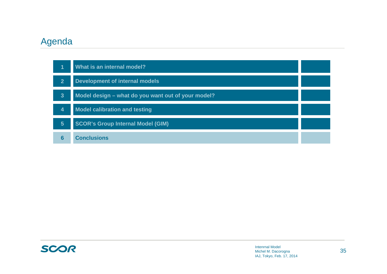#### Agenda